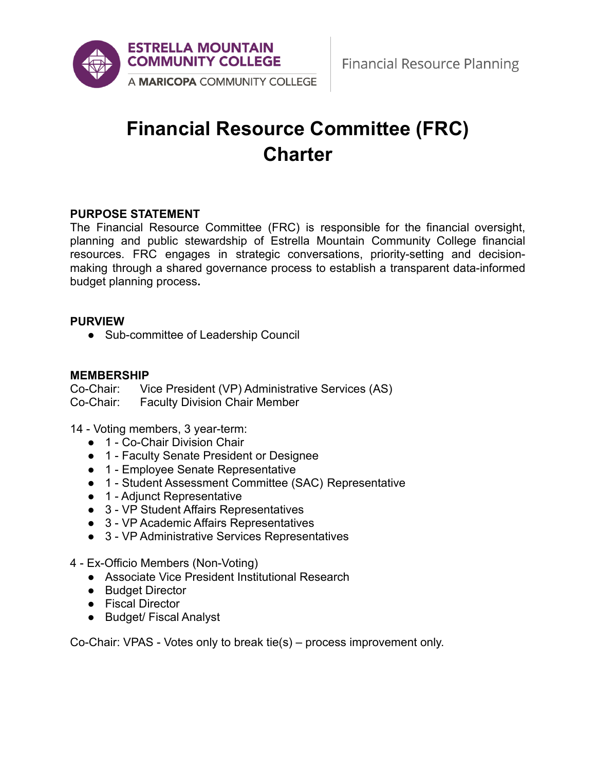

# **Financial Resource Committee (FRC) Charter**

## **PURPOSE STATEMENT**

The Financial Resource Committee (FRC) is responsible for the financial oversight, planning and public stewardship of Estrella Mountain Community College financial resources. FRC engages in strategic conversations, priority-setting and decisionmaking through a shared governance process to establish a transparent data-informed budget planning process**.**

#### **PURVIEW**

● Sub-committee of Leadership Council

#### **MEMBERSHIP**

Co-Chair: Vice President (VP) Administrative Services (AS) Co-Chair: Faculty Division Chair Member

14 - Voting members, 3 year-term:

- 1 Co-Chair Division Chair
- 1 Faculty Senate President or Designee
- 1 Employee Senate Representative
- 1 Student Assessment Committee (SAC) Representative
- 1 Adjunct Representative
- 3 VP Student Affairs Representatives
- 3 VP Academic Affairs Representatives
- 3 VP Administrative Services Representatives
- 4 Ex-Officio Members (Non-Voting)
	- Associate Vice President Institutional Research
	- Budget Director
	- Fiscal Director
	- Budget/ Fiscal Analyst

Co-Chair: VPAS - Votes only to break tie(s) – process improvement only.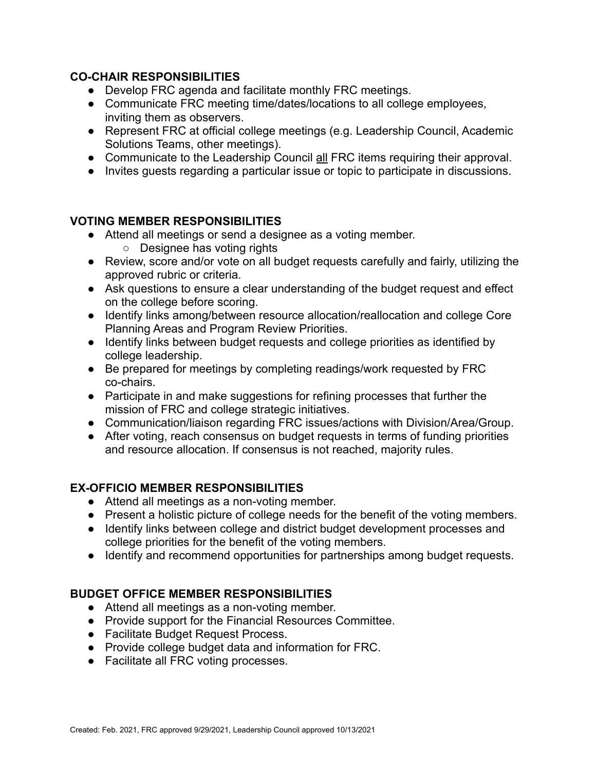## **CO-CHAIR RESPONSIBILITIES**

- Develop FRC agenda and facilitate monthly FRC meetings.
- Communicate FRC meeting time/dates/locations to all college employees, inviting them as observers.
- Represent FRC at official college meetings (e.g. Leadership Council, Academic Solutions Teams, other meetings).
- Communicate to the Leadership Council all FRC items requiring their approval.
- Invites guests regarding a particular issue or topic to participate in discussions.

# **VOTING MEMBER RESPONSIBILITIES**

- Attend all meetings or send a designee as a voting member.
	- Designee has voting rights
- Review, score and/or vote on all budget requests carefully and fairly, utilizing the approved rubric or criteria.
- Ask questions to ensure a clear understanding of the budget request and effect on the college before scoring.
- Identify links among/between resource allocation/reallocation and college Core Planning Areas and Program Review Priorities.
- Identify links between budget requests and college priorities as identified by college leadership.
- Be prepared for meetings by completing readings/work requested by FRC co-chairs.
- Participate in and make suggestions for refining processes that further the mission of FRC and college strategic initiatives.
- Communication/liaison regarding FRC issues/actions with Division/Area/Group.
- After voting, reach consensus on budget requests in terms of funding priorities and resource allocation. If consensus is not reached, majority rules.

# **EX-OFFICIO MEMBER RESPONSIBILITIES**

- Attend all meetings as a non-voting member.
- Present a holistic picture of college needs for the benefit of the voting members.
- Identify links between college and district budget development processes and college priorities for the benefit of the voting members.
- Identify and recommend opportunities for partnerships among budget requests.

## **BUDGET OFFICE MEMBER RESPONSIBILITIES**

- Attend all meetings as a non-voting member.
- Provide support for the Financial Resources Committee.
- Facilitate Budget Request Process.
- Provide college budget data and information for FRC.
- Facilitate all FRC voting processes.